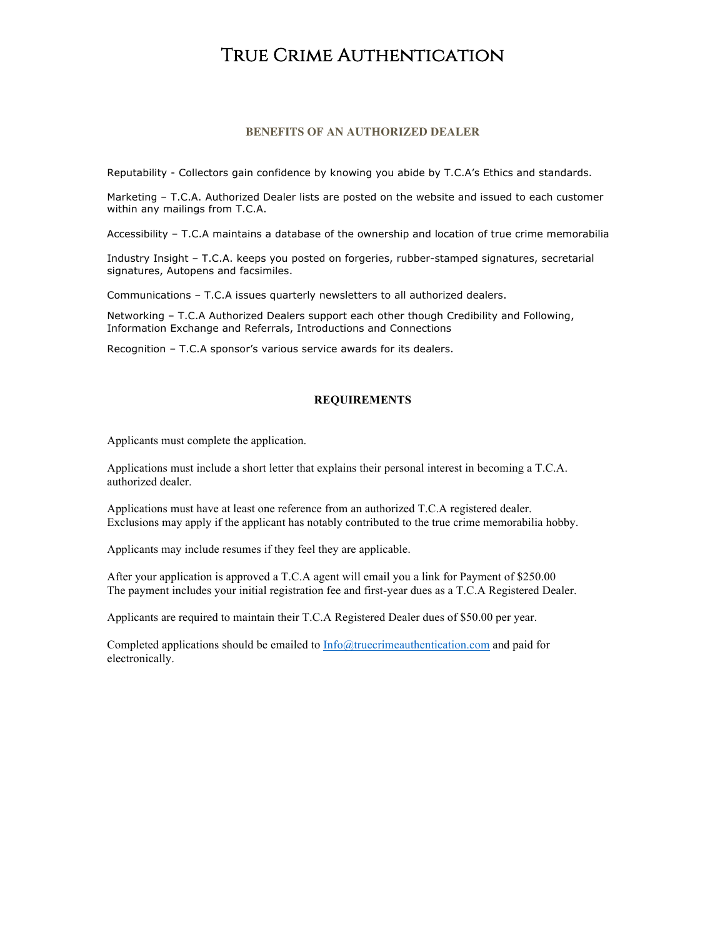## True Crime Authentication

## **BENEFITS OF AN AUTHORIZED DEALER**

Reputability - Collectors gain confidence by knowing you abide by T.C.A's Ethics and standards.

Marketing – T.C.A. Authorized Dealer lists are posted on the website and issued to each customer within any mailings from T.C.A.

Accessibility – T.C.A maintains a database of the ownership and location of true crime memorabilia

Industry Insight – T.C.A. keeps you posted on forgeries, rubber-stamped signatures, secretarial signatures, Autopens and facsimiles.

Communications – T.C.A issues quarterly newsletters to all authorized dealers.

Networking – T.C.A Authorized Dealers support each other though Credibility and Following, Information Exchange and Referrals, Introductions and Connections

Recognition – T.C.A sponsor's various service awards for its dealers.

## **REQUIREMENTS**

Applicants must complete the application.

Applications must include a short letter that explains their personal interest in becoming a T.C.A. authorized dealer.

Applications must have at least one reference from an authorized T.C.A registered dealer. Exclusions may apply if the applicant has notably contributed to the true crime memorabilia hobby.

Applicants may include resumes if they feel they are applicable.

After your application is approved a T.C.A agent will email you a link for Payment of \$250.00 The payment includes your initial registration fee and first-year dues as a T.C.A Registered Dealer.

Applicants are required to maintain their T.C.A Registered Dealer dues of \$50.00 per year.

Completed applications should be emailed to Info@truecrimeauthentication.com and paid for electronically.